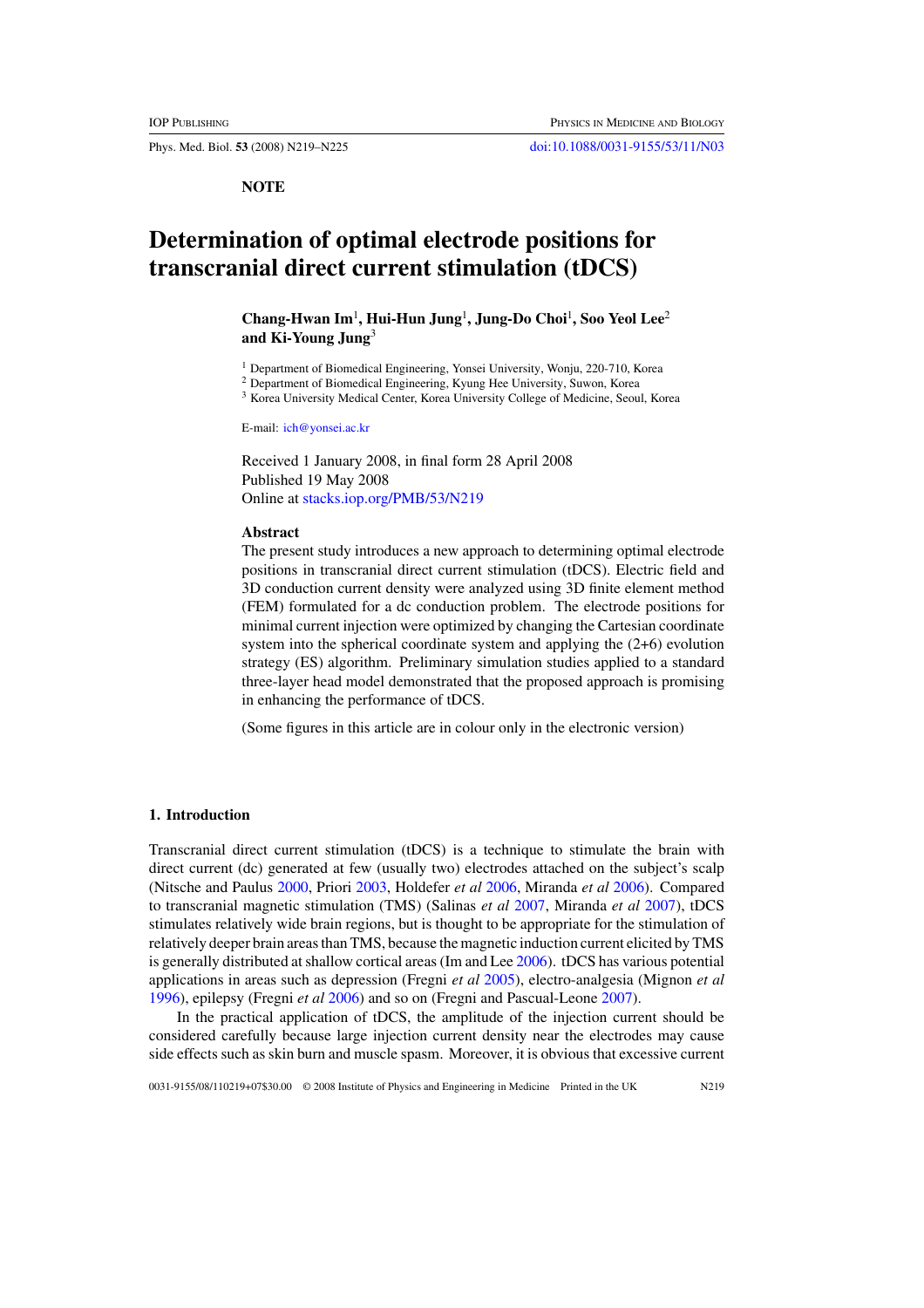Phys. Med. Biol. **53** (2008) N219–N225 [doi:10.1088/0031-9155/53/11/N03](http://dx.doi.org/10.1088/0031-9155/53/11/N03)

**NOTE**

# **Determination of optimal electrode positions for transcranial direct current stimulation (tDCS)**

**Chang-Hwan Im**<sup>1</sup> **, Hui-Hun Jung**<sup>1</sup> **, Jung-Do Choi**<sup>1</sup> **, Soo Yeol Lee**<sup>2</sup> **and Ki-Young Jung**<sup>3</sup>

<sup>1</sup> Department of Biomedical Engineering, Yonsei University, Wonju, 220-710, Korea

- <sup>2</sup> Department of Biomedical Engineering, Kyung Hee University, Suwon, Korea
- <sup>3</sup> Korea University Medical Center, Korea University College of Medicine, Seoul, Korea

E-mail: [ich@yonsei.ac.kr](mailto:ich@yonsei.ac.kr)

Received 1 January 2008, in final form 28 April 2008 Published 19 May 2008 Online at [stacks.iop.org/PMB/53/N219](http://stacks.iop.org/PMB/53/N219)

## **Abstract**

The present study introduces a new approach to determining optimal electrode positions in transcranial direct current stimulation (tDCS). Electric field and 3D conduction current density were analyzed using 3D finite element method (FEM) formulated for a dc conduction problem. The electrode positions for minimal current injection were optimized by changing the Cartesian coordinate system into the spherical coordinate system and applying the  $(2+6)$  evolution strategy (ES) algorithm. Preliminary simulation studies applied to a standard three-layer head model demonstrated that the proposed approach is promising in enhancing the performance of tDCS.

(Some figures in this article are in colour only in the electronic version)

## **1. Introduction**

Transcranial direct current stimulation (tDCS) is a technique to stimulate the brain with direct current (dc) generated at few (usually two) electrodes attached on the subject's scalp (Nitsche and Paulus [2000,](#page-6-0) Priori [2003](#page-6-0), Holdefer *et al* [2006,](#page-5-0) Miranda *et al* [2006\)](#page-6-0). Compared to transcranial magnetic stimulation (TMS) (Salinas *et al* [2007](#page-6-0), Miranda *et al* [2007](#page-6-0)), tDCS stimulates relatively wide brain regions, but is thought to be appropriate for the stimulation of relatively deeper brain areas than TMS, because the magnetic induction current elicited by TMS is generally distributed at shallow cortical areas (Im and Lee [2006](#page-5-0)). tDCS has various potential applications in areas such as depression (Fregni *et al* [2005\)](#page-5-0), electro-analgesia (Mignon *et al* [1996\)](#page-6-0), epilepsy (Fregni *et al* [2006](#page-5-0)) and so on (Fregni and Pascual-Leone [2007](#page-5-0)).

In the practical application of tDCS, the amplitude of the injection current should be considered carefully because large injection current density near the electrodes may cause side effects such as skin burn and muscle spasm. Moreover, it is obvious that excessive current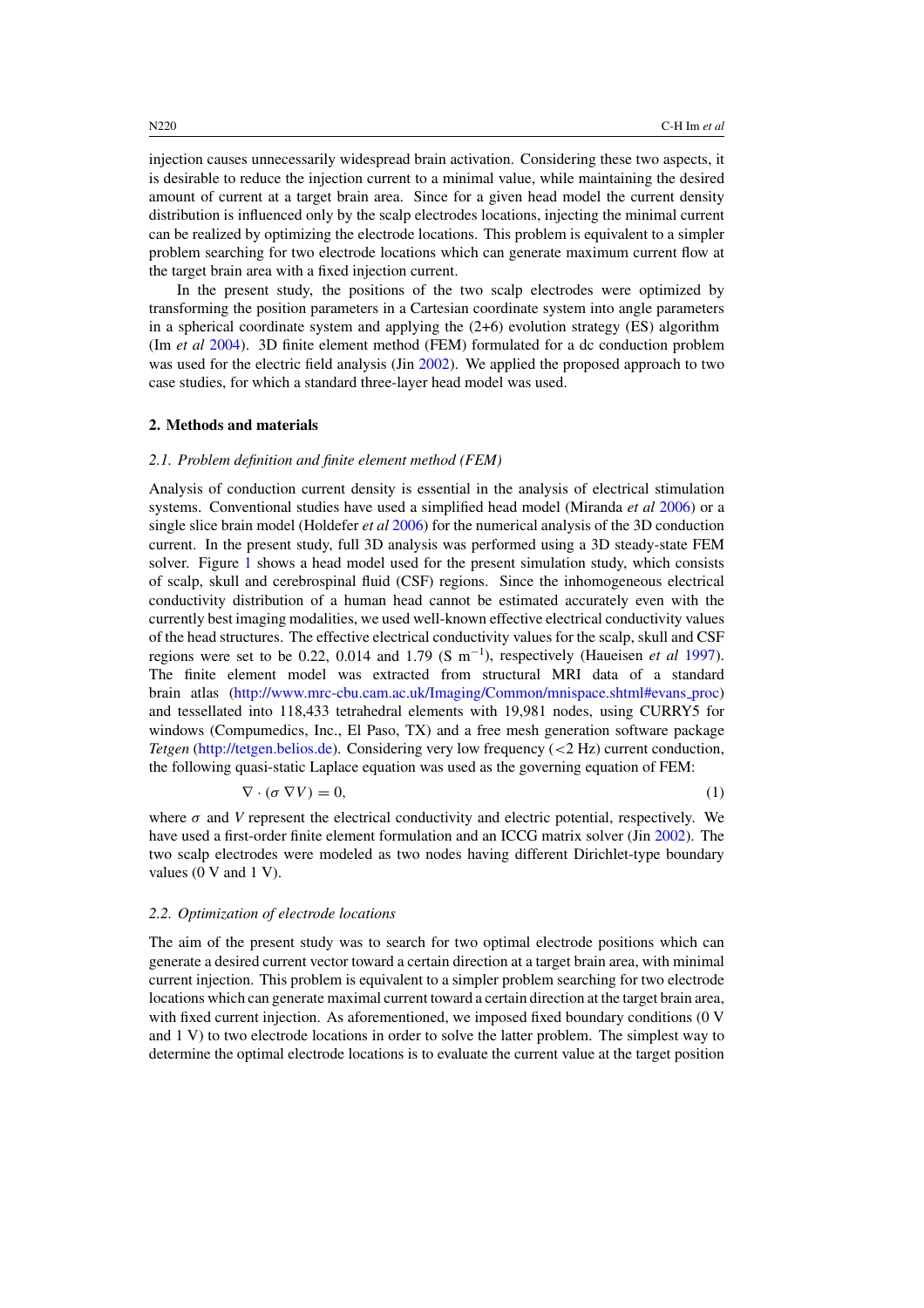injection causes unnecessarily widespread brain activation. Considering these two aspects, it is desirable to reduce the injection current to a minimal value, while maintaining the desired amount of current at a target brain area. Since for a given head model the current density distribution is influenced only by the scalp electrodes locations, injecting the minimal current can be realized by optimizing the electrode locations. This problem is equivalent to a simpler problem searching for two electrode locations which can generate maximum current flow at the target brain area with a fixed injection current.

In the present study, the positions of the two scalp electrodes were optimized by transforming the position parameters in a Cartesian coordinate system into angle parameters in a spherical coordinate system and applying the  $(2+6)$  evolution strategy (ES) algorithm (Im *et al* [2004\)](#page-5-0). 3D finite element method (FEM) formulated for a dc conduction problem was used for the electric field analysis (Jin [2002\)](#page-5-0). We applied the proposed approach to two case studies, for which a standard three-layer head model was used.

## **2. Methods and materials**

#### *2.1. Problem definition and finite element method (FEM)*

Analysis of conduction current density is essential in the analysis of electrical stimulation systems. Conventional studies have used a simplified head model (Miranda *et al* [2006\)](#page-6-0) or a single slice brain model (Holdefer *et al* [2006\)](#page-5-0) for the numerical analysis of the 3D conduction current. In the present study, full 3D analysis was performed using a 3D steady-state FEM solver. Figure [1](#page-2-0) shows a head model used for the present simulation study, which consists of scalp, skull and cerebrospinal fluid (CSF) regions. Since the inhomogeneous electrical conductivity distribution of a human head cannot be estimated accurately even with the currently best imaging modalities, we used well-known effective electrical conductivity values of the head structures. The effective electrical conductivity values for the scalp, skull and CSF regions were set to be 0.22, 0.014 and 1.79 (S m−<sup>1</sup> ), respectively (Haueisen *et al* [1997\)](#page-5-0). The finite element model was extracted from structural MRI data of a standard brain atlas [\(http://www.mrc-cbu.cam.ac.uk/Imaging/Common/mnispace.shtml#evans](http://www.mrc-cbu.cam.ac.uk/Imaging/Common/mnispace.shtml#evans_proc) proc) and tessellated into 118,433 tetrahedral elements with 19,981 nodes, using CURRY5 for windows (Compumedics, Inc., El Paso, TX) and a free mesh generation software package *Tetgen* [\(http://tetgen.belios.de\)](http://tetgen.belios.de). Considering very low frequency (*<*2 Hz) current conduction, the following quasi-static Laplace equation was used as the governing equation of FEM:

$$
\nabla \cdot (\sigma \nabla V) = 0,\tag{1}
$$

where  $\sigma$  and *V* represent the electrical conductivity and electric potential, respectively. We have used a first-order finite element formulation and an ICCG matrix solver (Jin [2002\)](#page-5-0). The two scalp electrodes were modeled as two nodes having different Dirichlet-type boundary values (0 V and 1 V).

## *2.2. Optimization of electrode locations*

The aim of the present study was to search for two optimal electrode positions which can generate a desired current vector toward a certain direction at a target brain area, with minimal current injection. This problem is equivalent to a simpler problem searching for two electrode locations which can generate maximal current toward a certain direction at the target brain area, with fixed current injection. As aforementioned, we imposed fixed boundary conditions (0 V and 1 V) to two electrode locations in order to solve the latter problem. The simplest way to determine the optimal electrode locations is to evaluate the current value at the target position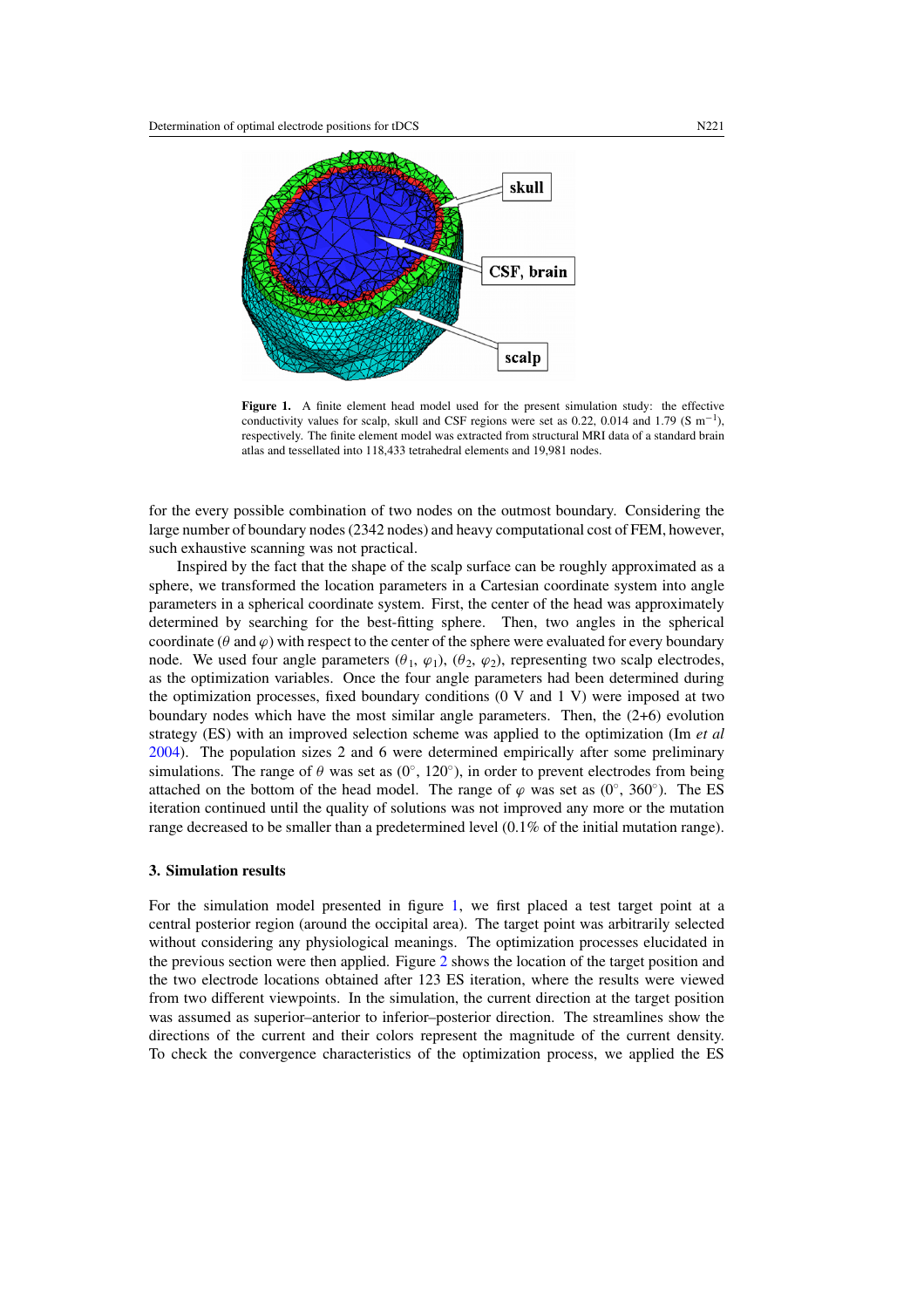<span id="page-2-0"></span>

**Figure 1.** A finite element head model used for the present simulation study: the effective conductivity values for scalp, skull and CSF regions were set as 0.22, 0.014 and 1.79 (S m<sup>-1</sup>), respectively. The finite element model was extracted from structural MRI data of a standard brain atlas and tessellated into 118,433 tetrahedral elements and 19,981 nodes.

for the every possible combination of two nodes on the outmost boundary. Considering the large number of boundary nodes (2342 nodes) and heavy computational cost of FEM, however, such exhaustive scanning was not practical.

Inspired by the fact that the shape of the scalp surface can be roughly approximated as a sphere, we transformed the location parameters in a Cartesian coordinate system into angle parameters in a spherical coordinate system. First, the center of the head was approximately determined by searching for the best-fitting sphere. Then, two angles in the spherical coordinate ( $\theta$  and  $\varphi$ ) with respect to the center of the sphere were evaluated for every boundary node. We used four angle parameters  $(\theta_1, \varphi_1), (\theta_2, \varphi_2)$ , representing two scalp electrodes, as the optimization variables. Once the four angle parameters had been determined during the optimization processes, fixed boundary conditions (0 V and 1 V) were imposed at two boundary nodes which have the most similar angle parameters. Then, the (2+6) evolution strategy (ES) with an improved selection scheme was applied to the optimization (Im *et al* [2004\)](#page-5-0). The population sizes 2 and 6 were determined empirically after some preliminary simulations. The range of  $\theta$  was set as (0<sup>°</sup>, 120<sup>°</sup>), in order to prevent electrodes from being attached on the bottom of the head model. The range of  $\varphi$  was set as (0<sup>°</sup>, 360<sup>°</sup>). The ES iteration continued until the quality of solutions was not improved any more or the mutation range decreased to be smaller than a predetermined level (0.1% of the initial mutation range).

#### **3. Simulation results**

For the simulation model presented in figure 1, we first placed a test target point at a central posterior region (around the occipital area). The target point was arbitrarily selected without considering any physiological meanings. The optimization processes elucidated in the previous section were then applied. Figure [2](#page-3-0) shows the location of the target position and the two electrode locations obtained after 123 ES iteration, where the results were viewed from two different viewpoints. In the simulation, the current direction at the target position was assumed as superior–anterior to inferior–posterior direction. The streamlines show the directions of the current and their colors represent the magnitude of the current density. To check the convergence characteristics of the optimization process, we applied the ES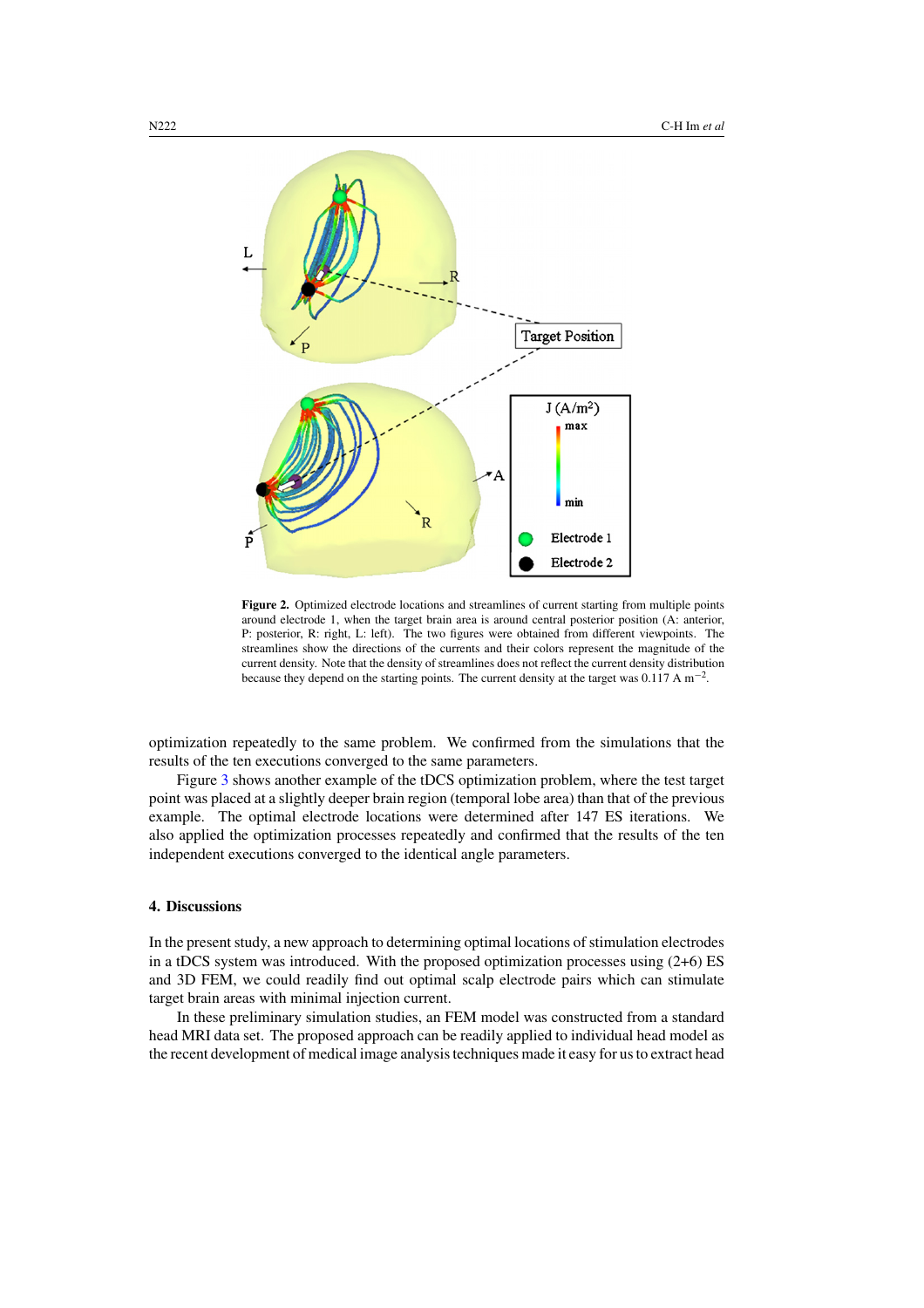<span id="page-3-0"></span>

**Figure 2.** Optimized electrode locations and streamlines of current starting from multiple points around electrode 1, when the target brain area is around central posterior position (A: anterior, P: posterior, R: right, L: left). The two figures were obtained from different viewpoints. The streamlines show the directions of the currents and their colors represent the magnitude of the current density. Note that the density of streamlines does not reflect the current density distribution because they depend on the starting points. The current density at the target was  $0.117 \text{ A m}^{-2}$ .

optimization repeatedly to the same problem. We confirmed from the simulations that the results of the ten executions converged to the same parameters.

Figure [3](#page-4-0) shows another example of the tDCS optimization problem, where the test target point was placed at a slightly deeper brain region (temporal lobe area) than that of the previous example. The optimal electrode locations were determined after 147 ES iterations. We also applied the optimization processes repeatedly and confirmed that the results of the ten independent executions converged to the identical angle parameters.

# **4. Discussions**

In the present study, a new approach to determining optimal locations of stimulation electrodes in a tDCS system was introduced. With the proposed optimization processes using (2+6) ES and 3D FEM, we could readily find out optimal scalp electrode pairs which can stimulate target brain areas with minimal injection current.

In these preliminary simulation studies, an FEM model was constructed from a standard head MRI data set. The proposed approach can be readily applied to individual head model as the recent development of medical image analysis techniques made it easy for us to extract head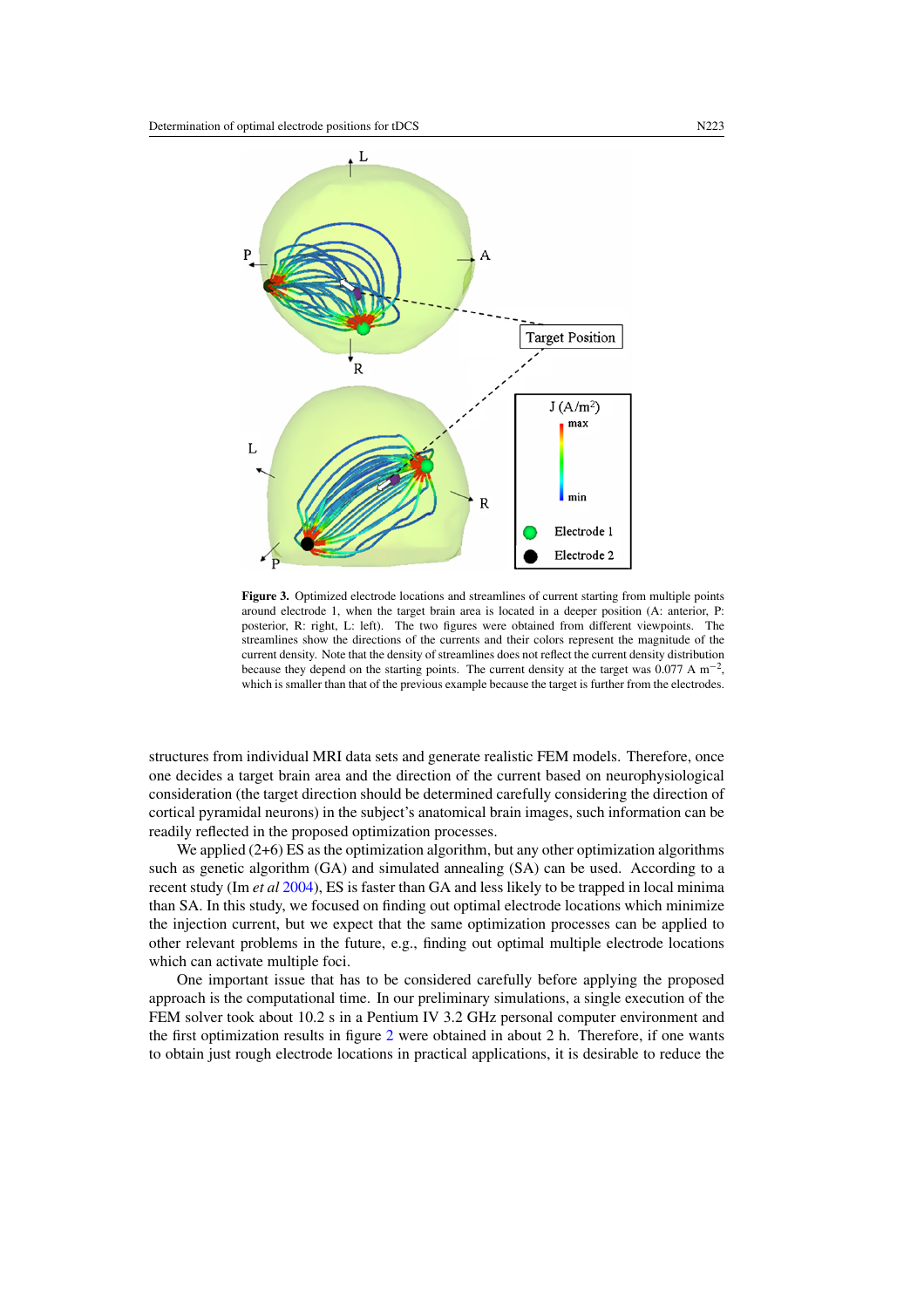<span id="page-4-0"></span>

**Figure 3.** Optimized electrode locations and streamlines of current starting from multiple points around electrode 1, when the target brain area is located in a deeper position (A: anterior, P: posterior, R: right, L: left). The two figures were obtained from different viewpoints. The streamlines show the directions of the currents and their colors represent the magnitude of the current density. Note that the density of streamlines does not reflect the current density distribution because they depend on the starting points. The current density at the target was  $0.077 \text{ A m}^{-2}$ , which is smaller than that of the previous example because the target is further from the electrodes.

structures from individual MRI data sets and generate realistic FEM models. Therefore, once one decides a target brain area and the direction of the current based on neurophysiological consideration (the target direction should be determined carefully considering the direction of cortical pyramidal neurons) in the subject's anatomical brain images, such information can be readily reflected in the proposed optimization processes.

We applied  $(2+6)$  ES as the optimization algorithm, but any other optimization algorithms such as genetic algorithm (GA) and simulated annealing (SA) can be used. According to a recent study (Im *et al* [2004\)](#page-5-0), ES is faster than GA and less likely to be trapped in local minima than SA. In this study, we focused on finding out optimal electrode locations which minimize the injection current, but we expect that the same optimization processes can be applied to other relevant problems in the future, e.g., finding out optimal multiple electrode locations which can activate multiple foci.

One important issue that has to be considered carefully before applying the proposed approach is the computational time. In our preliminary simulations, a single execution of the FEM solver took about 10.2 s in a Pentium IV 3.2 GHz personal computer environment and the first optimization results in figure [2](#page-3-0) were obtained in about 2 h. Therefore, if one wants to obtain just rough electrode locations in practical applications, it is desirable to reduce the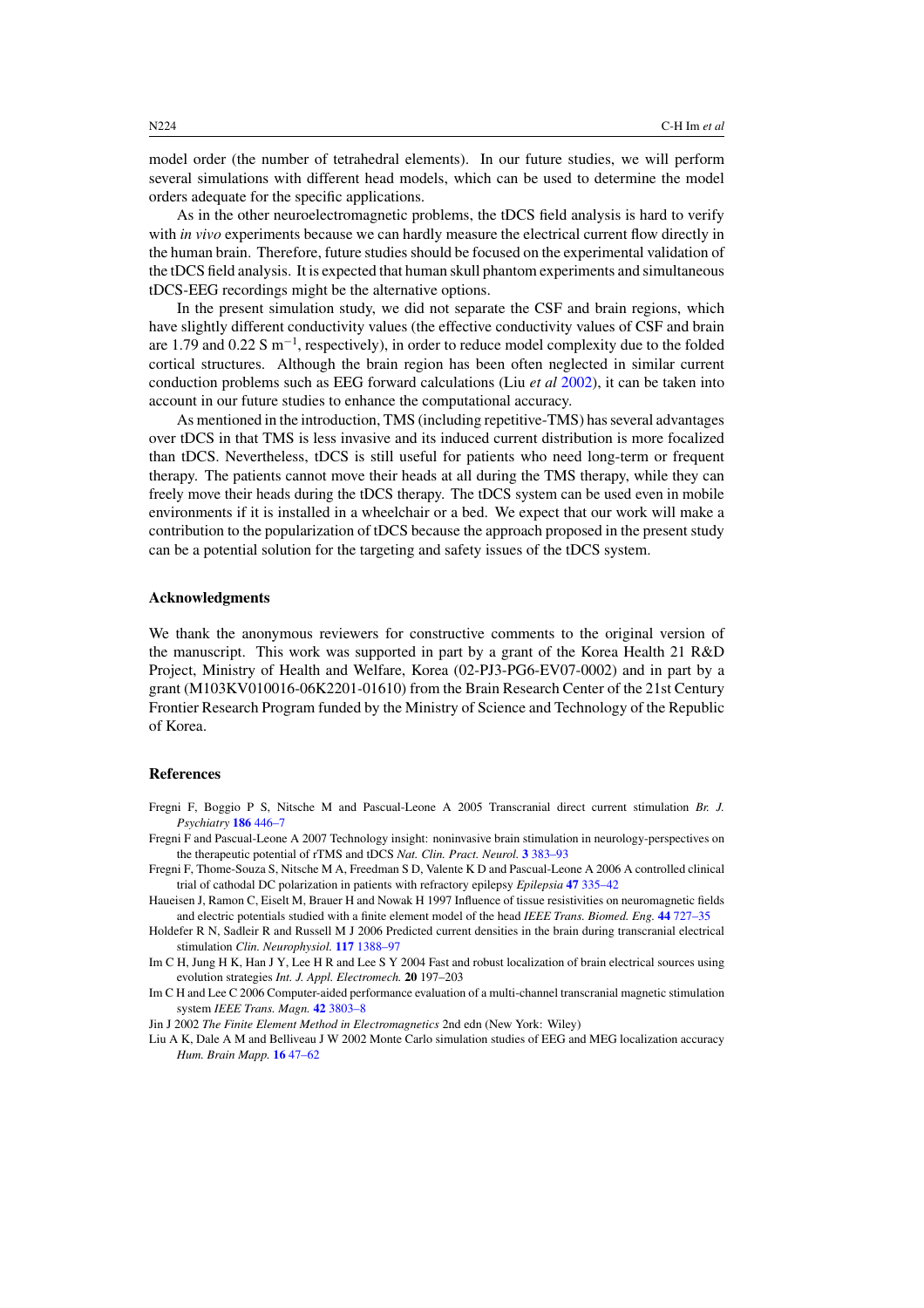<span id="page-5-0"></span>model order (the number of tetrahedral elements). In our future studies, we will perform several simulations with different head models, which can be used to determine the model orders adequate for the specific applications.

As in the other neuroelectromagnetic problems, the tDCS field analysis is hard to verify with *in vivo* experiments because we can hardly measure the electrical current flow directly in the human brain. Therefore, future studies should be focused on the experimental validation of the tDCS field analysis. It is expected that human skull phantom experiments and simultaneous tDCS-EEG recordings might be the alternative options.

In the present simulation study, we did not separate the CSF and brain regions, which have slightly different conductivity values (the effective conductivity values of CSF and brain are 1.79 and 0.22 S m<sup>-1</sup>, respectively), in order to reduce model complexity due to the folded cortical structures. Although the brain region has been often neglected in similar current conduction problems such as EEG forward calculations (Liu *et al* 2002), it can be taken into account in our future studies to enhance the computational accuracy.

As mentioned in the introduction, TMS (including repetitive-TMS) has several advantages over tDCS in that TMS is less invasive and its induced current distribution is more focalized than tDCS. Nevertheless, tDCS is still useful for patients who need long-term or frequent therapy. The patients cannot move their heads at all during the TMS therapy, while they can freely move their heads during the tDCS therapy. The tDCS system can be used even in mobile environments if it is installed in a wheelchair or a bed. We expect that our work will make a contribution to the popularization of tDCS because the approach proposed in the present study can be a potential solution for the targeting and safety issues of the tDCS system.

## **Acknowledgments**

We thank the anonymous reviewers for constructive comments to the original version of the manuscript. This work was supported in part by a grant of the Korea Health 21 R&D Project, Ministry of Health and Welfare, Korea (02-PJ3-PG6-EV07-0002) and in part by a grant (M103KV010016-06K2201-01610) from the Brain Research Center of the 21st Century Frontier Research Program funded by the Ministry of Science and Technology of the Republic of Korea.

#### **References**

- Fregni F, Boggio P S, Nitsche M and Pascual-Leone A 2005 Transcranial direct current stimulation *Br. J. Psychiatry* **186** [446–7](http://dx.doi.org/10.1192/bjp.186.5.446)
- Fregni F and Pascual-Leone A 2007 Technology insight: noninvasive brain stimulation in neurology-perspectives on the therapeutic potential of rTMS and tDCS *Nat. Clin. Pract. Neurol.* **3** [383–93](http://dx.doi.org/10.1038/ncpneuro0530)
- Fregni F, Thome-Souza S, Nitsche M A, Freedman S D, Valente K D and Pascual-Leone A 2006 A controlled clinical trial of cathodal DC polarization in patients with refractory epilepsy *Epilepsia* **47** [335–42](http://dx.doi.org/10.1111/j.1528-1167.2006.00426.x)
- Haueisen J, Ramon C, Eiselt M, Brauer H and Nowak H 1997 Influence of tissue resistivities on neuromagnetic fields and electric potentials studied with a finite element model of the head *IEEE Trans. Biomed. Eng.* **44** [727–35](http://dx.doi.org/10.1109/10.605429)
- Holdefer R N, Sadleir R and Russell M J 2006 Predicted current densities in the brain during transcranial electrical stimulation *Clin. Neurophysiol.* **117** [1388–97](http://dx.doi.org/10.1016/j.clinph.2006.02.020)
- Im C H, Jung H K, Han J Y, Lee H R and Lee S Y 2004 Fast and robust localization of brain electrical sources using evolution strategies *Int. J. Appl. Electromech.* **20** 197–203
- Im C H and Lee C 2006 Computer-aided performance evaluation of a multi-channel transcranial magnetic stimulation system *IEEE Trans. Magn.* **42** [3803–8](http://dx.doi.org/10.1109/TMAG.2006.883913)

Jin J 2002 *The Finite Element Method in Electromagnetics* 2nd edn (New York: Wiley)

Liu A K, Dale A M and Belliveau J W 2002 Monte Carlo simulation studies of EEG and MEG localization accuracy *Hum. Brain Mapp.* **16** [47–62](http://dx.doi.org/10.1002/hbm.10024)